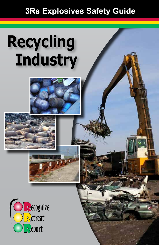## **3Rs Explosives Safety Guide**

## **Recycling Industry**



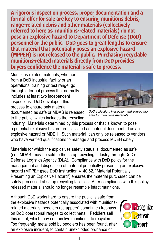**A rigorous inspection process, proper documentation and a formal offer for sale are key to ensuring munitions debris, range-related debris and other materials (collectively referred to here as munitions-related materials) do not pose an explosive hazard to Department of Defense (DoD) personnel or the public. DoD goes to great lengths to ensure that material that potentially poses an explosive hazard (MPPEH) is not released to the public. Purchasing recyclable munitions-related materials directly from DoD provides buyers confidence the material is safe to process.**

Munitions-related materials, whether from a DoD industrial facility or an operational training or test range, go through a formal process that normally includes at least two independent inspections. DoD developed this process to ensure only material documented as safe or MDAS is released



*DoD collection, inspection and segregation area for munitions materials*

to the public, which includes the recycling industry. Materials determined by this process or that is known to pose a potential explosive hazard are classified as material documented as an explosive hazard or MDEH. Such material can only be released to vendors who have verified qualifications to manage and process MDEH safely.

Materials for which the explosives safety status is documented as safe (i.e., MDAS) may be sold to the scrap recycling industry through DoD's Defense Logistics Agency (DLA). Compliance with DoD policy for the management and disposition of material potentially presenting an explosive hazard (MPPEH)(see DoD Instruction 4140.62, "Material Potentially Presenting an Explosive Hazard") ensures the material purchased can be safely processed at scrap recycling facilities. After compliance with this policy, released material should no longer resemble intact munitions.

Although DoD works hard to ensure the public is safe from the explosive hazards potentially associated with munitionsrelated materials, peddlers (scrappers) sometimes trespass on DoD operational ranges to collect metal. Peddlers sell this metal, which may contain live munitions, to recyclers. Too frequently, metal sold by peddlers has been found, after an explosive incident, to contain unexploded ordnance or

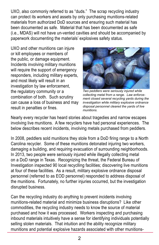UXO, also commonly referred to as "duds." The scrap recycling industry can protect its workers and assets by only purchasing munitions-related materials from authorized DoD sources and ensuring such material has been documented as safe. Material that has been documented as safe (i.e., MDAS) will not have un-vented cavities and should be accompanied by paperwork documenting the materials' explosives safety status.

UXO and other munitions can injure or kill employees or members of the public, or damage equipment. Incidents involving military munitions will require the support of emergency responders, including military experts, and most likely will result in an investigation by law enforcement, the regulatory community or a combination of both. Such scrutiny can cause a loss of business and may result in penalties or fines.



*Two peddlers were seriously injured while collecting metal from a range. Law enforcement closed several recycling yards during the investigation while military explosive ordnance disposal personnel cleared the yards of live munitions.*

Nearly every recycler has heard stories about tragedies and narrow escapes involving live munitions. A few recyclers have had personal experiences. The below describes recent incidents, involving metals purchased from peddlers.

In 2008, peddlers sold munitions they stole from a DoD firing range to a North Carolina recycler. Some of these munitions detonated injuring two workers, damaging a building, and requiring evacuation of surrounding neighborhoods. In 2013, two people were seriously injured while illegally collecting metal on a DoD range in Texas. Recognizing the threat, the Federal Bureau of Investigation inspected 90 local recyclling facilities; discovering live munitions at four of these facilities. As a result, military explosive ordnance disposal personnel (referred to as EOD personnel) responded to address disposal of the munitions. Fortunately, no further injuries occurred, but the investigation disrupted business.

Can the recycling industry do anything to prevent incidents involving munitions-related material and minimize business disruptions? Like other commodities, the recycling industry needs to know the source of material purchased and how it was processed. Workers inspecting and purchasing inbound materials intuitively have a sense for identifying individuals potentially selling stolen materials. That intuition and the ability recognize military munitions and potential explosive hazards associated with other munitions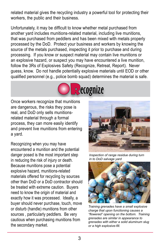related material gives the recycling industry a powerful tool for protecting their workers, the public and their business.

Unfortunately, it may be difficult to know whether metal purchased from another yard includes munitions-related material, including live munitions, that was purchased from peddlers and has been mixed with metals properly processed by the DoD. Protect your business and workers by knowing the source of the metals purchased, inspecting it prior to purchase and during processing. If you know or suspect material may contain live munitions or an explosive hazard, or suspect you may have encountered a live munition, follow the 3Rs of Explosives Safety (Recognize, Retreat, Report). Never guess, know. Do not handle potentially explosive materials until EOD or other qualified personnel (e.g., police bomb squad) determines the material is safe.



Once workers recognize that munitions are dangerous, the risks they pose is real, and DoD only sells munitionsrelated material through a formal real, and DoD only sells munitions-<br>related material through a formal<br>process, they can more easily identify and prevent live munitions from entering a yard. itions<br>e is

Recognizing when you may have encountered a munition and the potential danger posed is the most important step in reducing the risk of injury or death. Because munitions pose a potential explosive hazard, munitions-related materials offered for recycling by sources other than DoD or a DoD contractor should be treated with extreme caution. Buyers need to know the origin of material and exactly how it was processed. Ideally, a buyer should never purchase, touch, move or disturb (handle) munitions from other sources , particularly peddlers. Be very cautious when purchasing munitions from the secondary market.



*Inspection of range residue during turn in to DoD salvage yard*



*Training grenades have a small explosive charge that upon functioning causes a "flowered" opening on the bottom. Training grenades are similar in appearance to grenades with either a solid aluminum slug or a high explosive-fill.*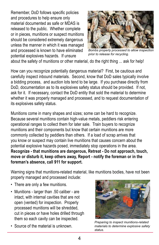Remember, DoD follows specific policies and procedures to help ensure only material documented as safe or MDAS is released to the public. Whether complete or in pieces, munitions or suspect munitions should be considered extremely dangerous unless the manner in which it was managed and processed is known to have eliminated potential explosives hazards. If unsure



*Bombs properly processed to allow inspection prior to release for recycling.*

about the safety of munitions or other material, do the right thing ... ask for help!

How can you recognize potentially dangerous material? First, be cautious and carefully inspect inbound materials. Second, know that DoD sales typically involve a bidding process, and auction lots tend to be large. If you purchase directly from DoD, documentation as to its explosives safety status should be provided. If not, ask for it. If necessary, contact the DoD entity that sold the material to determine whether it was properly managed and processed, and to request documentation of its explosives safety status.

Munitions come in many shapes and sizes; some can be hard to recognize. Because several munitions contain high-value metals, peddlers risk entering operational ranges to collect them for later sale. Train buyers to recognize munitions and their components but know that certain munitions are more commonly collected by peddlers than others. If a load of scrap arrives that you know or suspect may contain live munitions that causes concern about the potential explosive hazards posed, immediately stop operations in the area. **Recognize - that munitions are dangerous, Retreat - Do not approach, touch, move or disturb it, keep others away, Report - notify the foreman or in the foreman's absence, call 911 for support.**

Warning signs that munitions-related material, like munitions bodies, have not been properly managed and processed include:

- There are only a few munitions.
- Munitions larger than .50 caliber are intact, with internal cavities that are not open (vented) for inspection. Properly processed munitions will be shredded, cut in pieces or have holes drilled through them so each cavity can be inspected.
- Source of the material is unknown.



*Preparing to inspect munitions-related materials to determine explosive safety status.*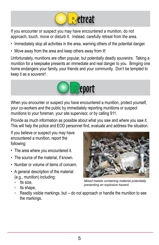

If you encounter or suspect you may have encountered a munition, do not If you encounter or suspect you may have encountered a munition, do not<br>approach, touch, move or disturb it. Instead, carefully retreat from the area.

- Immediately stop all activities in the area, warning others of the potential danger.
- Move away from the area and keep others away from it!

Unfortunately, munitions are often popular, but potentially deadly souvenirs. Taking a Unfortunately, munitions are often popular, but potentially deadly souvenirs. Taking a<br>munition for a keepsake presents an immediate and real danger to you. Bringing one home endangers your family, your friends and your community. Don't be tempted to R keep it as a souvenir! and your o



When you encounter or suspect you have encountered a munition, protect yourself, your co-workers and the public by immediately reporting munitions or suspect munitions to your foreman, your site supervisor, or by calling 911.

Provide as much information as possible about what you saw and where you saw it. This will help the police and EOD personnel find, evaluate and address the situation.

If you believe or suspect you may have encountered a munition, report the following:

- The area where you encountered it.
- The source of the material, if known.
- Number or volume of items of concern.
- A general description of the material (e.g., munition) including:
	- <sup>o</sup> Its size,
	- <sup>o</sup> Its shape,



*Mixed metals containing material potentially presenting an explosive hazard.*

• Readily visible markings, but -- do not approach or handle the munition to see the markings.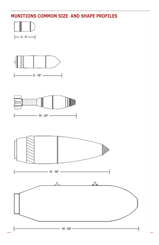## **MUNITIONS COMMON SIZE AND SHAPE PROFILES**